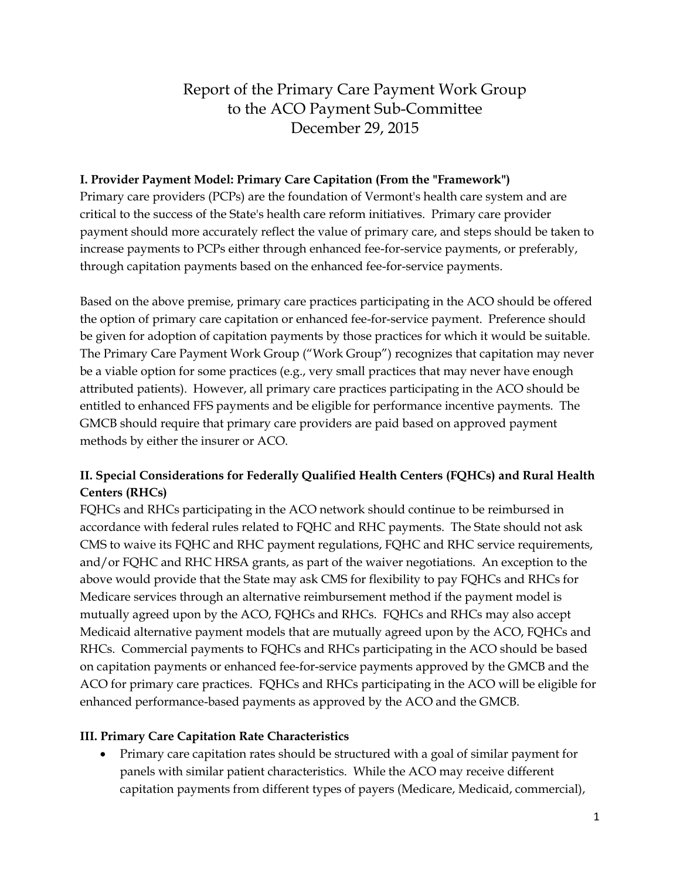# Report of the Primary Care Payment Work Group to the ACO Payment Sub-Committee December 29, 2015

#### **I. Provider Payment Model: Primary Care Capitation (From the "Framework")**

Primary care providers (PCPs) are the foundation of Vermont's health care system and are critical to the success of the State's health care reform initiatives. Primary care provider payment should more accurately reflect the value of primary care, and steps should be taken to increase payments to PCPs either through enhanced fee-for-service payments, or preferably, through capitation payments based on the enhanced fee-for-service payments.

Based on the above premise, primary care practices participating in the ACO should be offered the option of primary care capitation or enhanced fee-for-service payment. Preference should be given for adoption of capitation payments by those practices for which it would be suitable. The Primary Care Payment Work Group ("Work Group") recognizes that capitation may never be a viable option for some practices (e.g., very small practices that may never have enough attributed patients). However, all primary care practices participating in the ACO should be entitled to enhanced FFS payments and be eligible for performance incentive payments. The GMCB should require that primary care providers are paid based on approved payment methods by either the insurer or ACO.

## **II. Special Considerations for Federally Qualified Health Centers (FQHCs) and Rural Health Centers (RHCs)**

FQHCs and RHCs participating in the ACO network should continue to be reimbursed in accordance with federal rules related to FQHC and RHC payments. The State should not ask CMS to waive its FQHC and RHC payment regulations, FQHC and RHC service requirements, and/or FQHC and RHC HRSA grants, as part of the waiver negotiations. An exception to the above would provide that the State may ask CMS for flexibility to pay FQHCs and RHCs for Medicare services through an alternative reimbursement method if the payment model is mutually agreed upon by the ACO, FQHCs and RHCs. FQHCs and RHCs may also accept Medicaid alternative payment models that are mutually agreed upon by the ACO, FQHCs and RHCs. Commercial payments to FQHCs and RHCs participating in the ACO should be based on capitation payments or enhanced fee-for-service payments approved by the GMCB and the ACO for primary care practices. FQHCs and RHCs participating in the ACO will be eligible for enhanced performance-based payments as approved by the ACO and the GMCB.

#### **III. Primary Care Capitation Rate Characteristics**

 Primary care capitation rates should be structured with a goal of similar payment for panels with similar patient characteristics. While the ACO may receive different capitation payments from different types of payers (Medicare, Medicaid, commercial),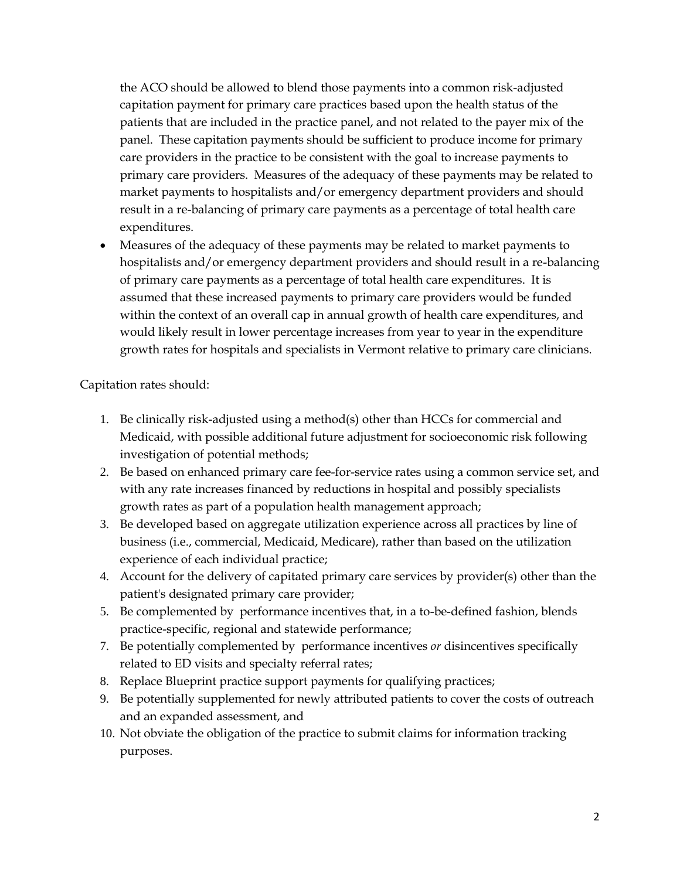the ACO should be allowed to blend those payments into a common risk-adjusted capitation payment for primary care practices based upon the health status of the patients that are included in the practice panel, and not related to the payer mix of the panel. These capitation payments should be sufficient to produce income for primary care providers in the practice to be consistent with the goal to increase payments to primary care providers. Measures of the adequacy of these payments may be related to market payments to hospitalists and/or emergency department providers and should result in a re-balancing of primary care payments as a percentage of total health care expenditures.

 Measures of the adequacy of these payments may be related to market payments to hospitalists and/or emergency department providers and should result in a re-balancing of primary care payments as a percentage of total health care expenditures. It is assumed that these increased payments to primary care providers would be funded within the context of an overall cap in annual growth of health care expenditures, and would likely result in lower percentage increases from year to year in the expenditure growth rates for hospitals and specialists in Vermont relative to primary care clinicians.

Capitation rates should:

- 1. Be clinically risk-adjusted using a method(s) other than HCCs for commercial and Medicaid, with possible additional future adjustment for socioeconomic risk following investigation of potential methods;
- 2. Be based on enhanced primary care fee-for-service rates using a common service set, and with any rate increases financed by reductions in hospital and possibly specialists growth rates as part of a population health management approach;
- 3. Be developed based on aggregate utilization experience across all practices by line of business (i.e., commercial, Medicaid, Medicare), rather than based on the utilization experience of each individual practice;
- 4. Account for the delivery of capitated primary care services by provider(s) other than the patient's designated primary care provider;
- 5. Be complemented by performance incentives that, in a to-be-defined fashion, blends practice-specific, regional and statewide performance;
- 7. Be potentially complemented by performance incentives *or* disincentives specifically related to ED visits and specialty referral rates;
- 8. Replace Blueprint practice support payments for qualifying practices;
- 9. Be potentially supplemented for newly attributed patients to cover the costs of outreach and an expanded assessment, and
- 10. Not obviate the obligation of the practice to submit claims for information tracking purposes.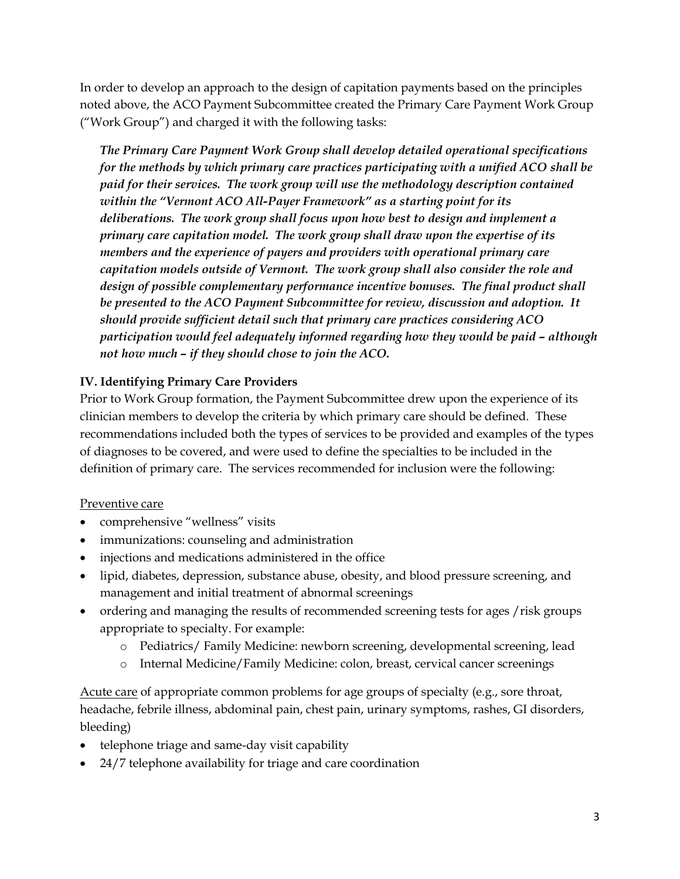In order to develop an approach to the design of capitation payments based on the principles noted above, the ACO Payment Subcommittee created the Primary Care Payment Work Group ("Work Group") and charged it with the following tasks:

*The Primary Care Payment Work Group shall develop detailed operational specifications for the methods by which primary care practices participating with a unified ACO shall be paid for their services. The work group will use the methodology description contained within the "Vermont ACO All-Payer Framework" as a starting point for its deliberations. The work group shall focus upon how best to design and implement a primary care capitation model. The work group shall draw upon the expertise of its members and the experience of payers and providers with operational primary care capitation models outside of Vermont. The work group shall also consider the role and design of possible complementary performance incentive bonuses. The final product shall be presented to the ACO Payment Subcommittee for review, discussion and adoption. It should provide sufficient detail such that primary care practices considering ACO participation would feel adequately informed regarding how they would be paid – although not how much – if they should chose to join the ACO.*

#### **IV. Identifying Primary Care Providers**

Prior to Work Group formation, the Payment Subcommittee drew upon the experience of its clinician members to develop the criteria by which primary care should be defined. These recommendations included both the types of services to be provided and examples of the types of diagnoses to be covered, and were used to define the specialties to be included in the definition of primary care. The services recommended for inclusion were the following:

#### Preventive care

- comprehensive "wellness" visits
- immunizations: counseling and administration
- injections and medications administered in the office
- lipid, diabetes, depression, substance abuse, obesity, and blood pressure screening, and management and initial treatment of abnormal screenings
- ordering and managing the results of recommended screening tests for ages / risk groups appropriate to specialty. For example:
	- o Pediatrics/ Family Medicine: newborn screening, developmental screening, lead
	- o Internal Medicine/Family Medicine: colon, breast, cervical cancer screenings

Acute care of appropriate common problems for age groups of specialty (e.g., sore throat, headache, febrile illness, abdominal pain, chest pain, urinary symptoms, rashes, GI disorders, bleeding)

- telephone triage and same-day visit capability
- 24/7 telephone availability for triage and care coordination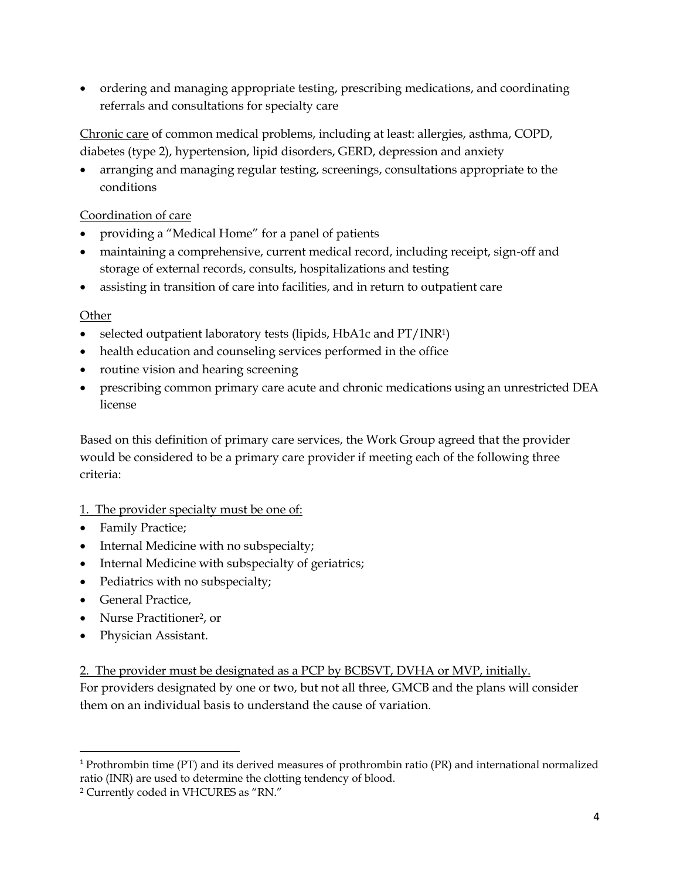ordering and managing appropriate testing, prescribing medications, and coordinating referrals and consultations for specialty care

Chronic care of common medical problems, including at least: allergies, asthma, COPD, diabetes (type 2), hypertension, lipid disorders, GERD, depression and anxiety

 arranging and managing regular testing, screenings, consultations appropriate to the conditions

## Coordination of care

- providing a "Medical Home" for a panel of patients
- maintaining a comprehensive, current medical record, including receipt, sign-off and storage of external records, consults, hospitalizations and testing
- assisting in transition of care into facilities, and in return to outpatient care

#### **Other**

- selected outpatient laboratory tests (lipids, HbA1c and PT/INR1)
- health education and counseling services performed in the office
- routine vision and hearing screening
- prescribing common primary care acute and chronic medications using an unrestricted DEA license

Based on this definition of primary care services, the Work Group agreed that the provider would be considered to be a primary care provider if meeting each of the following three criteria:

- 1. The provider specialty must be one of:
- Family Practice;
- Internal Medicine with no subspecialty;
- Internal Medicine with subspecialty of geriatrics;
- Pediatrics with no subspecialty;
- General Practice,

 $\overline{\phantom{a}}$ 

- Nurse Practitioner<sup>2</sup>, or
- Physician Assistant.

2. The provider must be designated as a PCP by BCBSVT, DVHA or MVP, initially.

For providers designated by one or two, but not all three, GMCB and the plans will consider them on an individual basis to understand the cause of variation.

<sup>1</sup> Prothrombin time (PT) and its derived measures of prothrombin ratio (PR) and international normalized ratio (INR) are used to determine the clotting tendency of blood.

<sup>2</sup> Currently coded in VHCURES as "RN."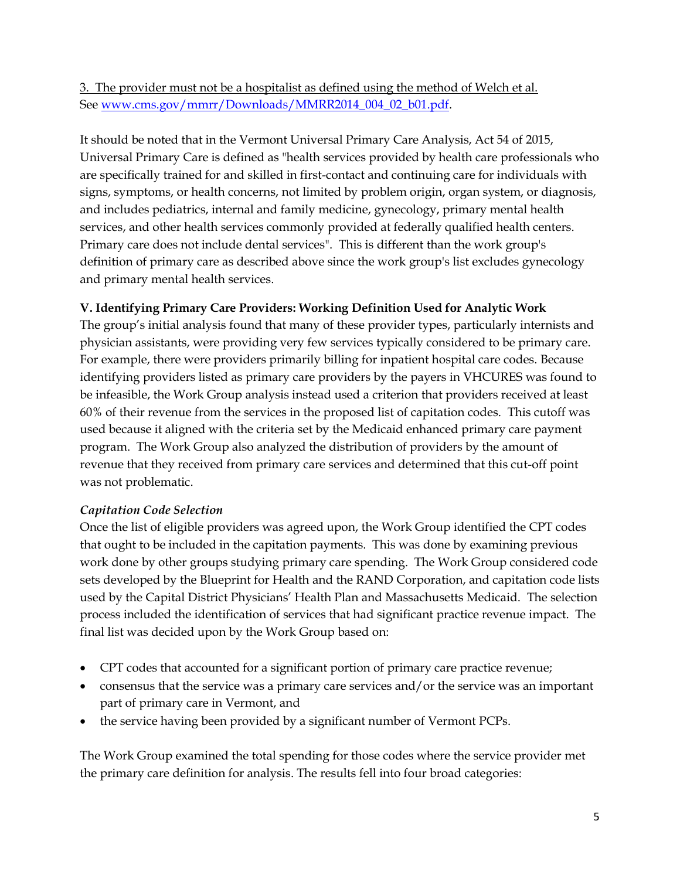3. The provider must not be a hospitalist as defined using the method of Welch et al. See [www.cms.gov/mmrr/Downloads/MMRR2014\\_004\\_02\\_b01.pdf.](http://www.cms.gov/mmrr/Downloads/MMRR2014_004_02_b01.pdf)

It should be noted that in the Vermont Universal Primary Care Analysis, Act 54 of 2015, Universal Primary Care is defined as "health services provided by health care professionals who are specifically trained for and skilled in first-contact and continuing care for individuals with signs, symptoms, or health concerns, not limited by problem origin, organ system, or diagnosis, and includes pediatrics, internal and family medicine, gynecology, primary mental health services, and other health services commonly provided at federally qualified health centers. Primary care does not include dental services". This is different than the work group's definition of primary care as described above since the work group's list excludes gynecology and primary mental health services.

## **V. Identifying Primary Care Providers: Working Definition Used for Analytic Work**

The group's initial analysis found that many of these provider types, particularly internists and physician assistants, were providing very few services typically considered to be primary care. For example, there were providers primarily billing for inpatient hospital care codes. Because identifying providers listed as primary care providers by the payers in VHCURES was found to be infeasible, the Work Group analysis instead used a criterion that providers received at least 60% of their revenue from the services in the proposed list of capitation codes. This cutoff was used because it aligned with the criteria set by the Medicaid enhanced primary care payment program. The Work Group also analyzed the distribution of providers by the amount of revenue that they received from primary care services and determined that this cut-off point was not problematic.

## *Capitation Code Selection*

Once the list of eligible providers was agreed upon, the Work Group identified the CPT codes that ought to be included in the capitation payments. This was done by examining previous work done by other groups studying primary care spending. The Work Group considered code sets developed by the Blueprint for Health and the RAND Corporation, and capitation code lists used by the Capital District Physicians' Health Plan and Massachusetts Medicaid. The selection process included the identification of services that had significant practice revenue impact. The final list was decided upon by the Work Group based on:

- CPT codes that accounted for a significant portion of primary care practice revenue;
- consensus that the service was a primary care services and/or the service was an important part of primary care in Vermont, and
- the service having been provided by a significant number of Vermont PCPs.

The Work Group examined the total spending for those codes where the service provider met the primary care definition for analysis. The results fell into four broad categories: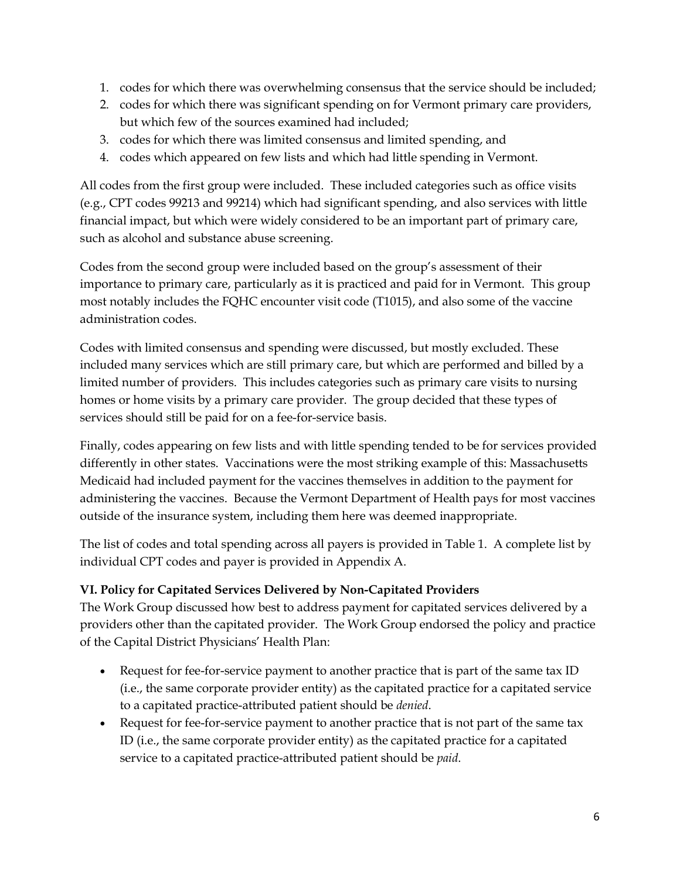- 1. codes for which there was overwhelming consensus that the service should be included;
- 2. codes for which there was significant spending on for Vermont primary care providers, but which few of the sources examined had included;
- 3. codes for which there was limited consensus and limited spending, and
- 4. codes which appeared on few lists and which had little spending in Vermont.

All codes from the first group were included. These included categories such as office visits (e.g., CPT codes 99213 and 99214) which had significant spending, and also services with little financial impact, but which were widely considered to be an important part of primary care, such as alcohol and substance abuse screening.

Codes from the second group were included based on the group's assessment of their importance to primary care, particularly as it is practiced and paid for in Vermont. This group most notably includes the FQHC encounter visit code (T1015), and also some of the vaccine administration codes.

Codes with limited consensus and spending were discussed, but mostly excluded. These included many services which are still primary care, but which are performed and billed by a limited number of providers. This includes categories such as primary care visits to nursing homes or home visits by a primary care provider. The group decided that these types of services should still be paid for on a fee-for-service basis.

Finally, codes appearing on few lists and with little spending tended to be for services provided differently in other states. Vaccinations were the most striking example of this: Massachusetts Medicaid had included payment for the vaccines themselves in addition to the payment for administering the vaccines. Because the Vermont Department of Health pays for most vaccines outside of the insurance system, including them here was deemed inappropriate.

The list of codes and total spending across all payers is provided in Table 1. A complete list by individual CPT codes and payer is provided in Appendix A.

## **VI. Policy for Capitated Services Delivered by Non-Capitated Providers**

The Work Group discussed how best to address payment for capitated services delivered by a providers other than the capitated provider. The Work Group endorsed the policy and practice of the Capital District Physicians' Health Plan:

- Request for fee-for-service payment to another practice that is part of the same tax ID (i.e., the same corporate provider entity) as the capitated practice for a capitated service to a capitated practice-attributed patient should be *denied*.
- Request for fee-for-service payment to another practice that is not part of the same tax ID (i.e., the same corporate provider entity) as the capitated practice for a capitated service to a capitated practice-attributed patient should be *paid*.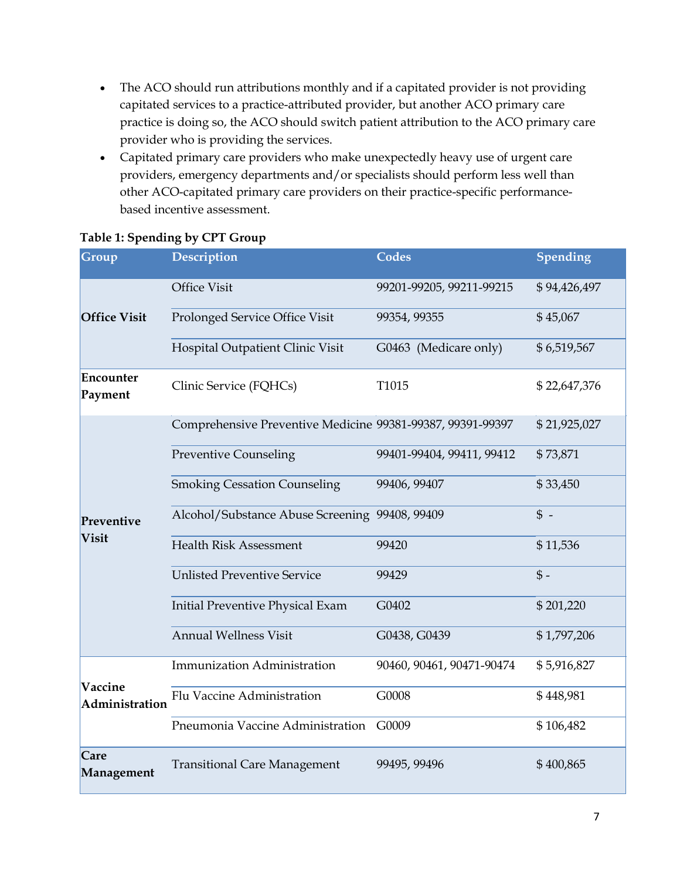- The ACO should run attributions monthly and if a capitated provider is not providing capitated services to a practice-attributed provider, but another ACO primary care practice is doing so, the ACO should switch patient attribution to the ACO primary care provider who is providing the services.
- Capitated primary care providers who make unexpectedly heavy use of urgent care providers, emergency departments and/or specialists should perform less well than other ACO-capitated primary care providers on their practice-specific performancebased incentive assessment.

| Group                | Description                                                | <b>Codes</b>              | Spending     |
|----------------------|------------------------------------------------------------|---------------------------|--------------|
|                      | <b>Office Visit</b>                                        | 99201-99205, 99211-99215  | \$94,426,497 |
| <b>Office Visit</b>  | Prolonged Service Office Visit                             | 99354, 99355              | \$45,067     |
|                      | Hospital Outpatient Clinic Visit                           | G0463 (Medicare only)     | \$6,519,567  |
| Encounter<br>Payment | Clinic Service (FQHCs)                                     | T1015                     | \$22,647,376 |
|                      | Comprehensive Preventive Medicine 99381-99387, 99391-99397 |                           | \$21,925,027 |
|                      | <b>Preventive Counseling</b>                               | 99401-99404, 99411, 99412 | \$73,871     |
|                      | <b>Smoking Cessation Counseling</b>                        | 99406, 99407              | \$33,450     |
| Preventive           | Alcohol/Substance Abuse Screening 99408, 99409             |                           | $\uparrow$ - |
| Visit                | <b>Health Risk Assessment</b>                              | 99420                     | \$11,536     |
|                      | <b>Unlisted Preventive Service</b>                         | 99429                     | $$ -$        |
|                      | Initial Preventive Physical Exam                           | G0402                     | \$201,220    |
|                      | <b>Annual Wellness Visit</b>                               | G0438, G0439              | \$1,797,206  |
| Vaccine              | Immunization Administration                                | 90460, 90461, 90471-90474 | \$5,916,827  |
| Administration       | Flu Vaccine Administration                                 | G0008                     | \$448,981    |
|                      | Pneumonia Vaccine Administration                           | G0009                     | \$106,482    |
| Care<br>Management   | <b>Transitional Care Management</b>                        | 99495, 99496              | \$400,865    |

#### **Table 1: Spending by CPT Group**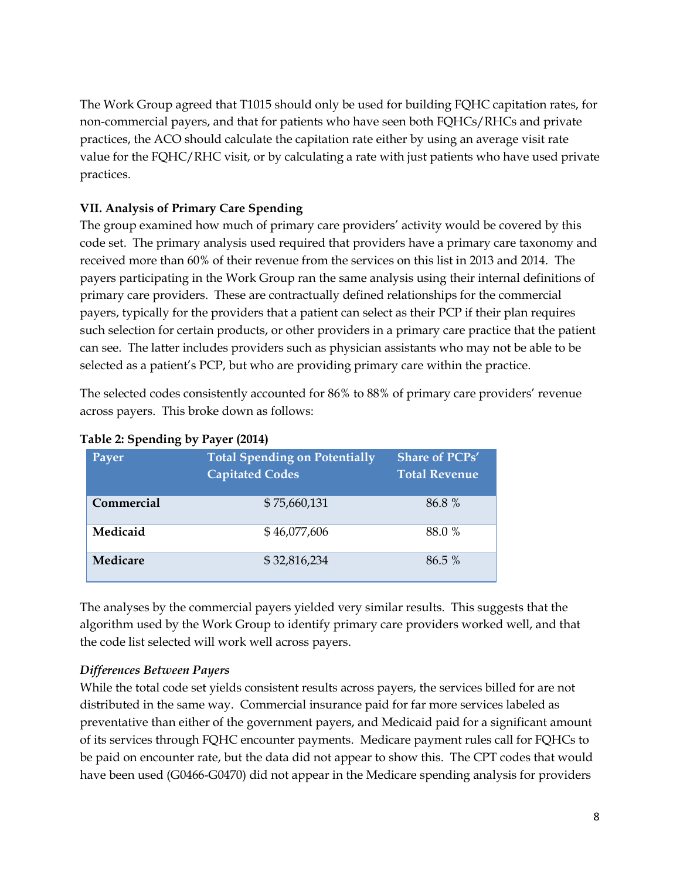The Work Group agreed that T1015 should only be used for building FQHC capitation rates, for non-commercial payers, and that for patients who have seen both FQHCs/RHCs and private practices, the ACO should calculate the capitation rate either by using an average visit rate value for the FQHC/RHC visit, or by calculating a rate with just patients who have used private practices.

## **VII. Analysis of Primary Care Spending**

The group examined how much of primary care providers' activity would be covered by this code set. The primary analysis used required that providers have a primary care taxonomy and received more than 60% of their revenue from the services on this list in 2013 and 2014. The payers participating in the Work Group ran the same analysis using their internal definitions of primary care providers. These are contractually defined relationships for the commercial payers, typically for the providers that a patient can select as their PCP if their plan requires such selection for certain products, or other providers in a primary care practice that the patient can see. The latter includes providers such as physician assistants who may not be able to be selected as a patient's PCP, but who are providing primary care within the practice.

The selected codes consistently accounted for 86% to 88% of primary care providers' revenue across payers. This broke down as follows:

| <b>Payer</b> | <b>Total Spending on Potentially</b><br><b>Capitated Codes</b> | <b>Share of PCPs'</b><br><b>Total Revenue</b> |
|--------------|----------------------------------------------------------------|-----------------------------------------------|
| Commercial   | \$75,660,131                                                   | 86.8 %                                        |
| Medicaid     | \$46,077,606                                                   | 88.0 %                                        |
| Medicare     | \$32,816,234                                                   | 86.5 %                                        |

#### **Table 2: Spending by Payer (2014)**

The analyses by the commercial payers yielded very similar results. This suggests that the algorithm used by the Work Group to identify primary care providers worked well, and that the code list selected will work well across payers.

#### *Differences Between Payers*

While the total code set yields consistent results across payers, the services billed for are not distributed in the same way. Commercial insurance paid for far more services labeled as preventative than either of the government payers, and Medicaid paid for a significant amount of its services through FQHC encounter payments. Medicare payment rules call for FQHCs to be paid on encounter rate, but the data did not appear to show this. The CPT codes that would have been used (G0466-G0470) did not appear in the Medicare spending analysis for providers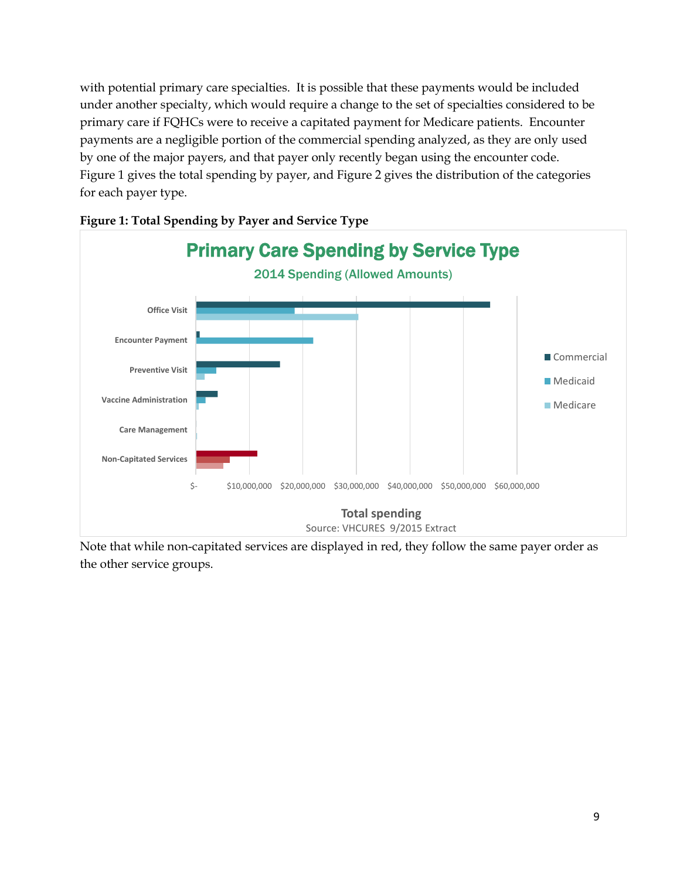with potential primary care specialties. It is possible that these payments would be included under another specialty, which would require a change to the set of specialties considered to be primary care if FQHCs were to receive a capitated payment for Medicare patients. Encounter payments are a negligible portion of the commercial spending analyzed, as they are only used by one of the major payers, and that payer only recently began using the encounter code. Figure 1 gives the total spending by payer, and Figure 2 gives the distribution of the categories for each payer type.



**Figure 1: Total Spending by Payer and Service Type**

Note that while non-capitated services are displayed in red, they follow the same payer order as the other service groups.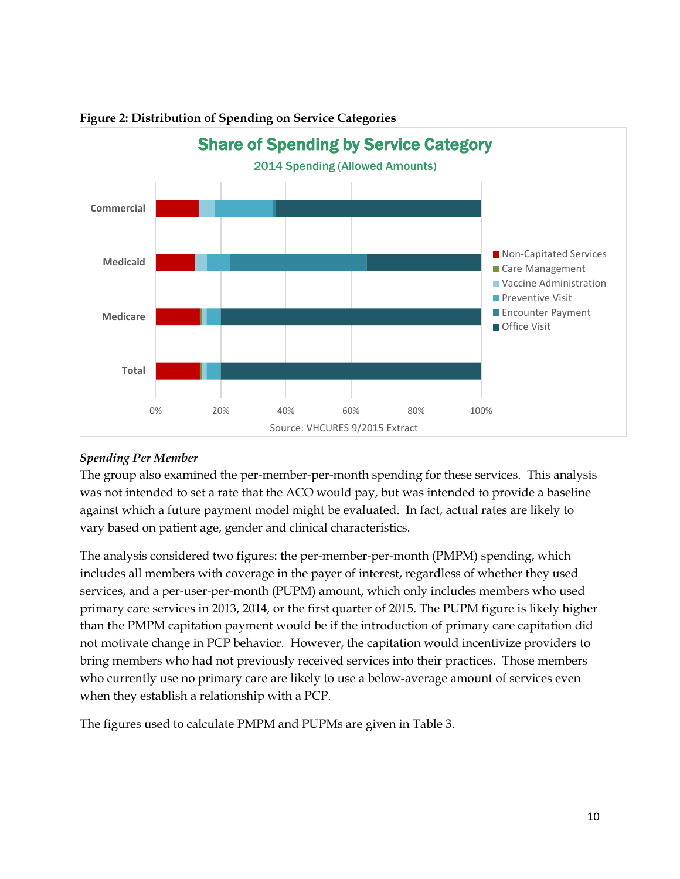

#### **Figure 2: Distribution of Spending on Service Categories**

#### *Spending Per Member*

The group also examined the per-member-per-month spending for these services. This analysis was not intended to set a rate that the ACO would pay, but was intended to provide a baseline against which a future payment model might be evaluated. In fact, actual rates are likely to vary based on patient age, gender and clinical characteristics.

The analysis considered two figures: the per-member-per-month (PMPM) spending, which includes all members with coverage in the payer of interest, regardless of whether they used services, and a per-user-per-month (PUPM) amount, which only includes members who used primary care services in 2013, 2014, or the first quarter of 2015. The PUPM figure is likely higher than the PMPM capitation payment would be if the introduction of primary care capitation did not motivate change in PCP behavior. However, the capitation would incentivize providers to bring members who had not previously received services into their practices. Those members who currently use no primary care are likely to use a below-average amount of services even when they establish a relationship with a PCP.

The figures used to calculate PMPM and PUPMs are given in Table 3.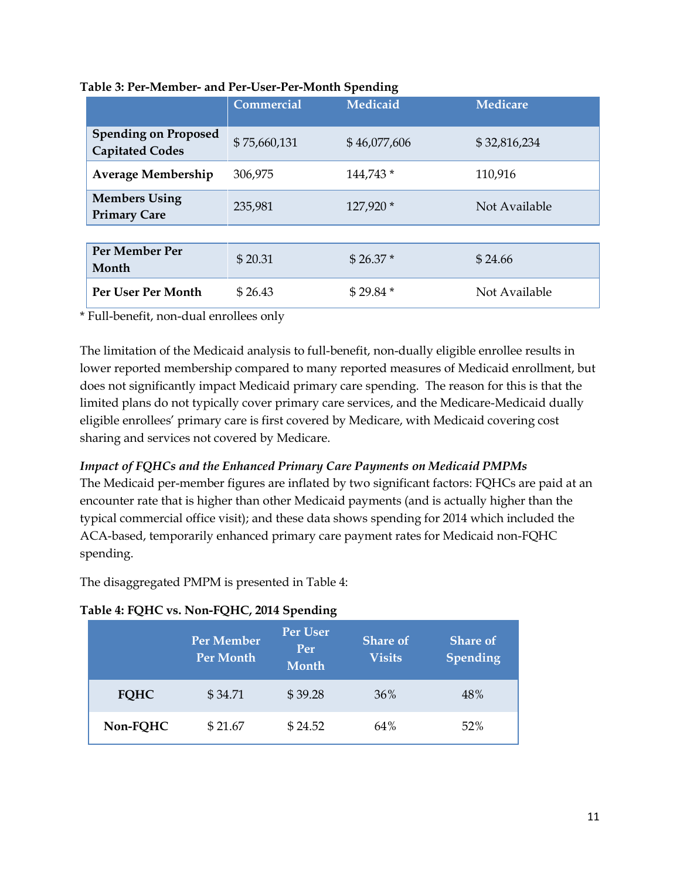|                                                       | <b>Commercial</b> | Medicaid     | <b>Medicare</b> |
|-------------------------------------------------------|-------------------|--------------|-----------------|
| <b>Spending on Proposed</b><br><b>Capitated Codes</b> | \$75,660,131      | \$46,077,606 | \$32,816,234    |
| <b>Average Membership</b>                             | 306,975           | 144,743 *    | 110,916         |
| <b>Members Using</b><br><b>Primary Care</b>           | 235,981           | 127,920 *    | Not Available   |
|                                                       |                   |              |                 |
| Per Member Per<br>Month                               | \$20.31           | $$26.37*$    | \$24.66         |
| Per User Per Month                                    | \$26.43           | $$29.84*$    | Not Available   |

#### **Table 3: Per-Member- and Per-User-Per-Month Spending**

\* Full-benefit, non-dual enrollees only

The limitation of the Medicaid analysis to full-benefit, non-dually eligible enrollee results in lower reported membership compared to many reported measures of Medicaid enrollment, but does not significantly impact Medicaid primary care spending. The reason for this is that the limited plans do not typically cover primary care services, and the Medicare-Medicaid dually eligible enrollees' primary care is first covered by Medicare, with Medicaid covering cost sharing and services not covered by Medicare.

## *Impact of FQHCs and the Enhanced Primary Care Payments on Medicaid PMPMs*

The Medicaid per-member figures are inflated by two significant factors: FQHCs are paid at an encounter rate that is higher than other Medicaid payments (and is actually higher than the typical commercial office visit); and these data shows spending for 2014 which included the ACA-based, temporarily enhanced primary care payment rates for Medicaid non-FQHC spending.

The disaggregated PMPM is presented in Table 4:

#### **Table 4: FQHC vs. Non-FQHC, 2014 Spending**

|             | Per Member<br>Per Month | <b>Per User</b><br>Per<br><b>Month</b> | <b>Share of</b><br><b>Visits</b> | <b>Share of</b><br><b>Spending</b> |
|-------------|-------------------------|----------------------------------------|----------------------------------|------------------------------------|
| <b>FQHC</b> | \$34.71                 | \$39.28                                | 36%                              | 48%                                |
| Non-FQHC    | \$21.67                 | \$24.52                                | 64%                              | 52%                                |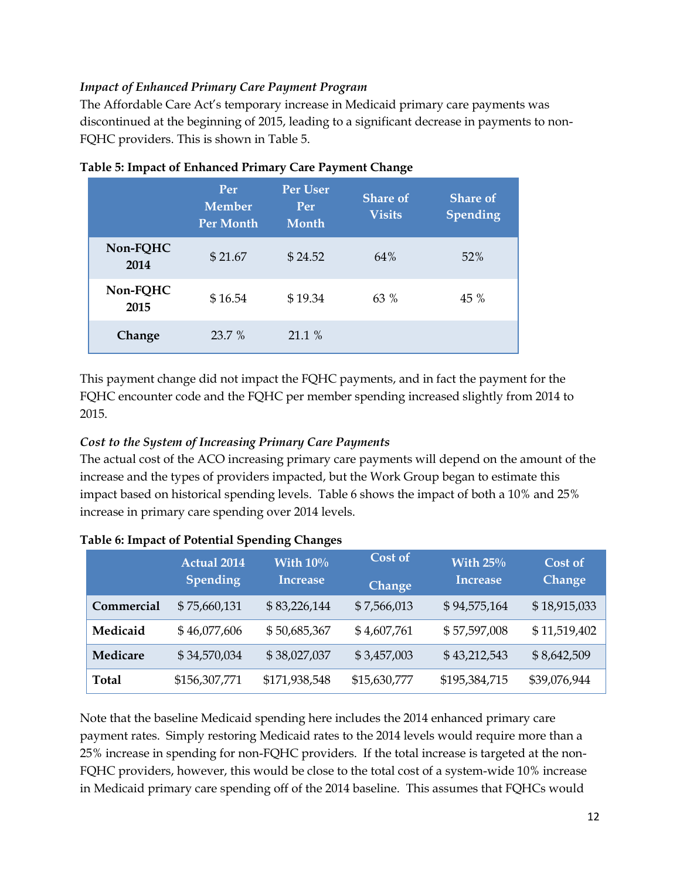#### *Impact of Enhanced Primary Care Payment Program*

The Affordable Care Act's temporary increase in Medicaid primary care payments was discontinued at the beginning of 2015, leading to a significant decrease in payments to non-FQHC providers. This is shown in Table 5.

|                  | Per<br><b>Member</b><br><b>Per Month</b> | <b>Per User</b><br>Per<br>Month | <b>Share of</b><br><b>Visits</b> | <b>Share of</b><br>Spending |
|------------------|------------------------------------------|---------------------------------|----------------------------------|-----------------------------|
| Non-FQHC<br>2014 | \$21.67                                  | \$24.52                         | 64%                              | 52%                         |
| Non-FQHC<br>2015 | \$16.54                                  | \$19.34                         | $63\%$                           | 45 %                        |
| Change           | $23.7\%$                                 | 21.1 %                          |                                  |                             |

|  | Table 5: Impact of Enhanced Primary Care Payment Change |
|--|---------------------------------------------------------|
|  |                                                         |

This payment change did not impact the FQHC payments, and in fact the payment for the FQHC encounter code and the FQHC per member spending increased slightly from 2014 to 2015.

#### *Cost to the System of Increasing Primary Care Payments*

The actual cost of the ACO increasing primary care payments will depend on the amount of the increase and the types of providers impacted, but the Work Group began to estimate this impact based on historical spending levels. Table 6 shows the impact of both a 10% and 25% increase in primary care spending over 2014 levels.

|              | <b>Actual 2014</b><br><b>Spending</b> | With $10\%$<br><b>Increase</b> | Cost of<br>Change | With $25\%$<br>Increase | Cost of<br><b>Change</b> |
|--------------|---------------------------------------|--------------------------------|-------------------|-------------------------|--------------------------|
| Commercial   | \$75,660,131                          | \$83,226,144                   | \$7,566,013       | \$94,575,164            | \$18,915,033             |
| Medicaid     | \$46,077,606                          | \$50,685,367                   | \$4,607,761       | \$57,597,008            | \$11,519,402             |
| Medicare     | \$34,570,034                          | \$38,027,037                   | \$3,457,003       | \$43,212,543            | \$8,642,509              |
| <b>Total</b> | \$156,307,771                         | \$171,938,548                  | \$15,630,777      | \$195,384,715           | \$39,076,944             |

**Table 6: Impact of Potential Spending Changes**

Note that the baseline Medicaid spending here includes the 2014 enhanced primary care payment rates. Simply restoring Medicaid rates to the 2014 levels would require more than a 25% increase in spending for non-FQHC providers. If the total increase is targeted at the non-FQHC providers, however, this would be close to the total cost of a system-wide 10% increase in Medicaid primary care spending off of the 2014 baseline. This assumes that FQHCs would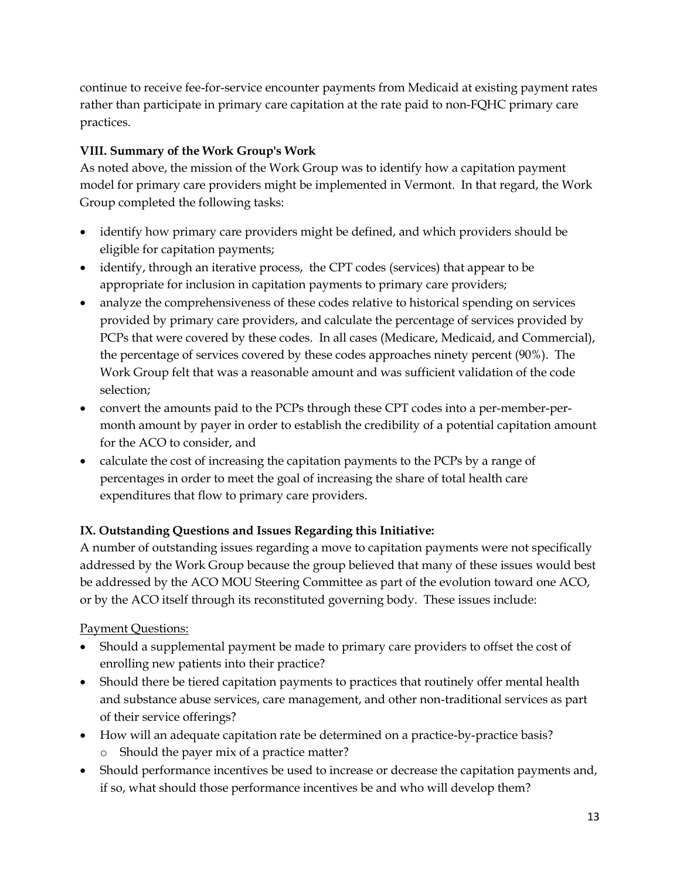continue to receive fee-for-service encounter payments from Medicaid at existing payment rates rather than participate in primary care capitation at the rate paid to non-FQHC primary care practices.

## **VIII. Summary of the Work Group's Work**

As noted above, the mission of the Work Group was to identify how a capitation payment model for primary care providers might be implemented in Vermont. In that regard, the Work Group completed the following tasks:

- identify how primary care providers might be defined, and which providers should be eligible for capitation payments;
- identify, through an iterative process, the CPT codes (services) that appear to be appropriate for inclusion in capitation payments to primary care providers;
- analyze the comprehensiveness of these codes relative to historical spending on services provided by primary care providers, and calculate the percentage of services provided by PCPs that were covered by these codes. In all cases (Medicare, Medicaid, and Commercial), the percentage of services covered by these codes approaches ninety percent (90%). The Work Group felt that was a reasonable amount and was sufficient validation of the code selection;
- convert the amounts paid to the PCPs through these CPT codes into a per-member-permonth amount by payer in order to establish the credibility of a potential capitation amount for the ACO to consider, and
- calculate the cost of increasing the capitation payments to the PCPs by a range of percentages in order to meet the goal of increasing the share of total health care expenditures that flow to primary care providers.

## **IX. Outstanding Questions and Issues Regarding this Initiative:**

A number of outstanding issues regarding a move to capitation payments were not specifically addressed by the Work Group because the group believed that many of these issues would best be addressed by the ACO MOU Steering Committee as part of the evolution toward one ACO, or by the ACO itself through its reconstituted governing body. These issues include:

## Payment Questions:

- Should a supplemental payment be made to primary care providers to offset the cost of enrolling new patients into their practice?
- Should there be tiered capitation payments to practices that routinely offer mental health and substance abuse services, care management, and other non-traditional services as part of their service offerings?
- How will an adequate capitation rate be determined on a practice-by-practice basis? o Should the payer mix of a practice matter?
- Should performance incentives be used to increase or decrease the capitation payments and, if so, what should those performance incentives be and who will develop them?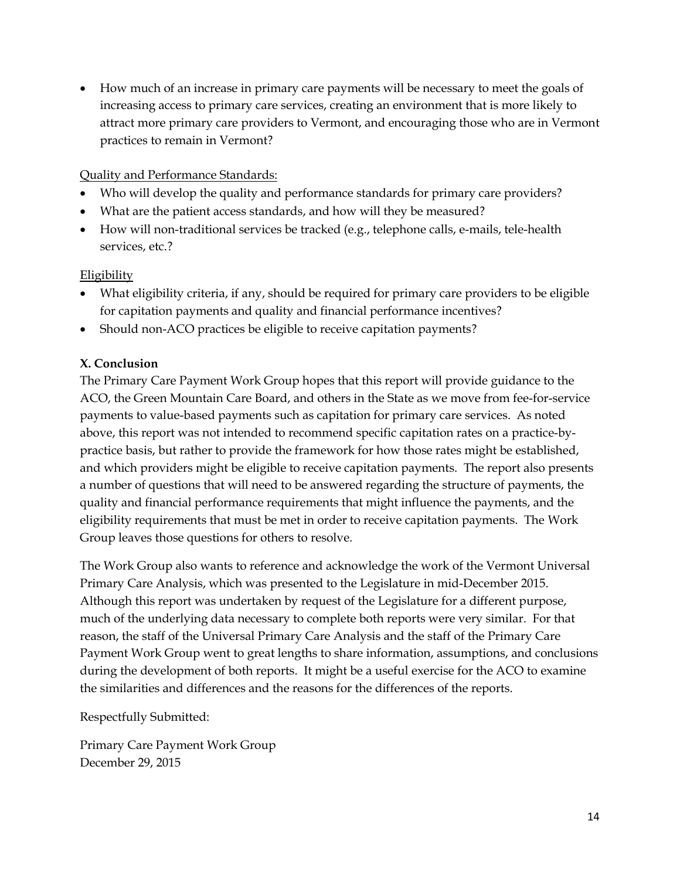How much of an increase in primary care payments will be necessary to meet the goals of increasing access to primary care services, creating an environment that is more likely to attract more primary care providers to Vermont, and encouraging those who are in Vermont practices to remain in Vermont?

#### Quality and Performance Standards:

- Who will develop the quality and performance standards for primary care providers?
- What are the patient access standards, and how will they be measured?
- How will non-traditional services be tracked (e.g., telephone calls, e-mails, tele-health services, etc.?

#### Eligibility

- What eligibility criteria, if any, should be required for primary care providers to be eligible for capitation payments and quality and financial performance incentives?
- Should non-ACO practices be eligible to receive capitation payments?

## **X. Conclusion**

The Primary Care Payment Work Group hopes that this report will provide guidance to the ACO, the Green Mountain Care Board, and others in the State as we move from fee-for-service payments to value-based payments such as capitation for primary care services. As noted above, this report was not intended to recommend specific capitation rates on a practice-bypractice basis, but rather to provide the framework for how those rates might be established, and which providers might be eligible to receive capitation payments. The report also presents a number of questions that will need to be answered regarding the structure of payments, the quality and financial performance requirements that might influence the payments, and the eligibility requirements that must be met in order to receive capitation payments. The Work Group leaves those questions for others to resolve.

The Work Group also wants to reference and acknowledge the work of the Vermont Universal Primary Care Analysis, which was presented to the Legislature in mid-December 2015. Although this report was undertaken by request of the Legislature for a different purpose, much of the underlying data necessary to complete both reports were very similar. For that reason, the staff of the Universal Primary Care Analysis and the staff of the Primary Care Payment Work Group went to great lengths to share information, assumptions, and conclusions during the development of both reports. It might be a useful exercise for the ACO to examine the similarities and differences and the reasons for the differences of the reports.

Respectfully Submitted:

Primary Care Payment Work Group December 29, 2015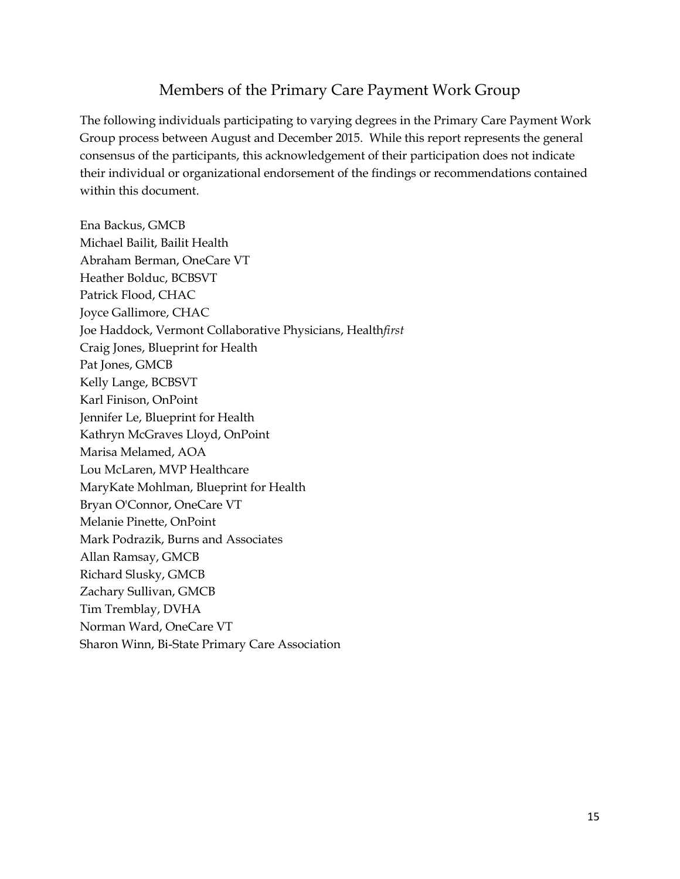## Members of the Primary Care Payment Work Group

The following individuals participating to varying degrees in the Primary Care Payment Work Group process between August and December 2015. While this report represents the general consensus of the participants, this acknowledgement of their participation does not indicate their individual or organizational endorsement of the findings or recommendations contained within this document.

Ena Backus, GMCB Michael Bailit, Bailit Health Abraham Berman, OneCare VT Heather Bolduc, BCBSVT Patrick Flood, CHAC Joyce Gallimore, CHAC Joe Haddock, Vermont Collaborative Physicians, Health*first* Craig Jones, Blueprint for Health Pat Jones, GMCB Kelly Lange, BCBSVT Karl Finison, OnPoint Jennifer Le, Blueprint for Health Kathryn McGraves Lloyd, OnPoint Marisa Melamed, AOA Lou McLaren, MVP Healthcare MaryKate Mohlman, Blueprint for Health Bryan O'Connor, OneCare VT Melanie Pinette, OnPoint Mark Podrazik, Burns and Associates Allan Ramsay, GMCB Richard Slusky, GMCB Zachary Sullivan, GMCB Tim Tremblay, DVHA Norman Ward, OneCare VT Sharon Winn, Bi-State Primary Care Association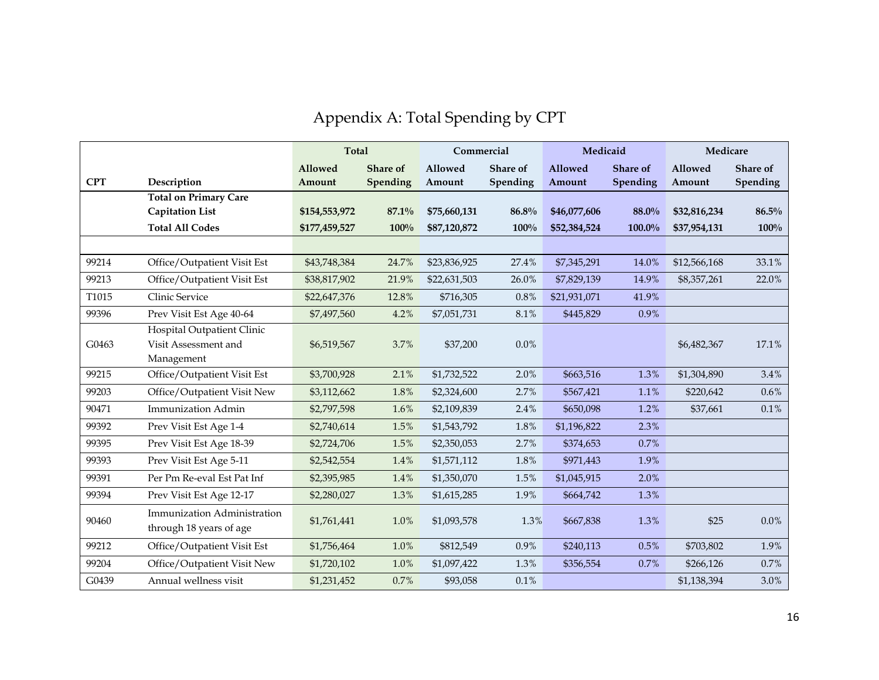# Appendix A: Total Spending by CPT

|            |                                                        | <b>Total</b>   |                 | Commercial   |          | Medicaid       |                 | Medicare     |          |
|------------|--------------------------------------------------------|----------------|-----------------|--------------|----------|----------------|-----------------|--------------|----------|
|            |                                                        | <b>Allowed</b> | <b>Share of</b> | Allowed      | Share of | <b>Allowed</b> | <b>Share of</b> | Allowed      | Share of |
| <b>CPT</b> | Description                                            | Amount         | Spending        | Amount       | Spending | Amount         | Spending        | Amount       | Spending |
|            | <b>Total on Primary Care</b>                           |                |                 |              |          |                |                 |              |          |
|            | <b>Capitation List</b>                                 | \$154,553,972  | $87.1\%$        | \$75,660,131 | 86.8%    | \$46,077,606   | 88.0%           | \$32,816,234 | 86.5%    |
|            | <b>Total All Codes</b>                                 | \$177,459,527  | 100%            | \$87,120,872 | 100%     | \$52,384,524   | 100.0%          | \$37,954,131 | 100%     |
|            |                                                        |                |                 |              |          |                |                 |              |          |
| 99214      | Office/Outpatient Visit Est                            | \$43,748,384   | 24.7%           | \$23,836,925 | 27.4%    | \$7,345,291    | 14.0%           | \$12,566,168 | 33.1%    |
| 99213      | Office/Outpatient Visit Est                            | \$38,817,902   | 21.9%           | \$22,631,503 | 26.0%    | \$7,829,139    | 14.9%           | \$8,357,261  | 22.0%    |
| T1015      | Clinic Service                                         | \$22,647,376   | 12.8%           | \$716,305    | 0.8%     | \$21,931,071   | 41.9%           |              |          |
| 99396      | Prev Visit Est Age 40-64                               | \$7,497,560    | 4.2%            | \$7,051,731  | 8.1%     | \$445,829      | 0.9%            |              |          |
|            | Hospital Outpatient Clinic                             |                |                 |              |          |                |                 |              |          |
| G0463      | Visit Assessment and                                   | \$6,519,567    | 3.7%            | \$37,200     | $0.0\%$  |                |                 | \$6,482,367  | 17.1%    |
|            | Management                                             |                |                 |              |          |                |                 |              |          |
| 99215      | Office/Outpatient Visit Est                            | \$3,700,928    | 2.1%            | \$1,732,522  | 2.0%     | \$663,516      | 1.3%            | \$1,304,890  | 3.4%     |
| 99203      | Office/Outpatient Visit New                            | \$3,112,662    | 1.8%            | \$2,324,600  | 2.7%     | \$567,421      | 1.1%            | \$220,642    | 0.6%     |
| 90471      | Immunization Admin                                     | \$2,797,598    | 1.6%            | \$2,109,839  | 2.4%     | \$650,098      | 1.2%            | \$37,661     | 0.1%     |
| 99392      | Prev Visit Est Age 1-4                                 | \$2,740,614    | 1.5%            | \$1,543,792  | 1.8%     | \$1,196,822    | 2.3%            |              |          |
| 99395      | Prev Visit Est Age 18-39                               | \$2,724,706    | 1.5%            | \$2,350,053  | 2.7%     | \$374,653      | 0.7%            |              |          |
| 99393      | Prev Visit Est Age 5-11                                | \$2,542,554    | 1.4%            | \$1,571,112  | 1.8%     | \$971,443      | 1.9%            |              |          |
| 99391      | Per Pm Re-eval Est Pat Inf                             | \$2,395,985    | 1.4%            | \$1,350,070  | 1.5%     | \$1,045,915    | 2.0%            |              |          |
| 99394      | Prev Visit Est Age 12-17                               | \$2,280,027    | 1.3%            | \$1,615,285  | 1.9%     | \$664,742      | 1.3%            |              |          |
| 90460      | Immunization Administration<br>through 18 years of age | \$1,761,441    | 1.0%            | \$1,093,578  | 1.3%     | \$667,838      | 1.3%            | \$25         | 0.0%     |
| 99212      | Office/Outpatient Visit Est                            | \$1,756,464    | 1.0%            | \$812,549    | 0.9%     | \$240,113      | 0.5%            | \$703,802    | 1.9%     |
| 99204      | Office/Outpatient Visit New                            | \$1,720,102    | 1.0%            | \$1,097,422  | 1.3%     | \$356,554      | 0.7%            | \$266,126    | 0.7%     |
| G0439      | Annual wellness visit                                  | \$1,231,452    | 0.7%            | \$93,058     | $0.1\%$  |                |                 | \$1,138,394  | 3.0%     |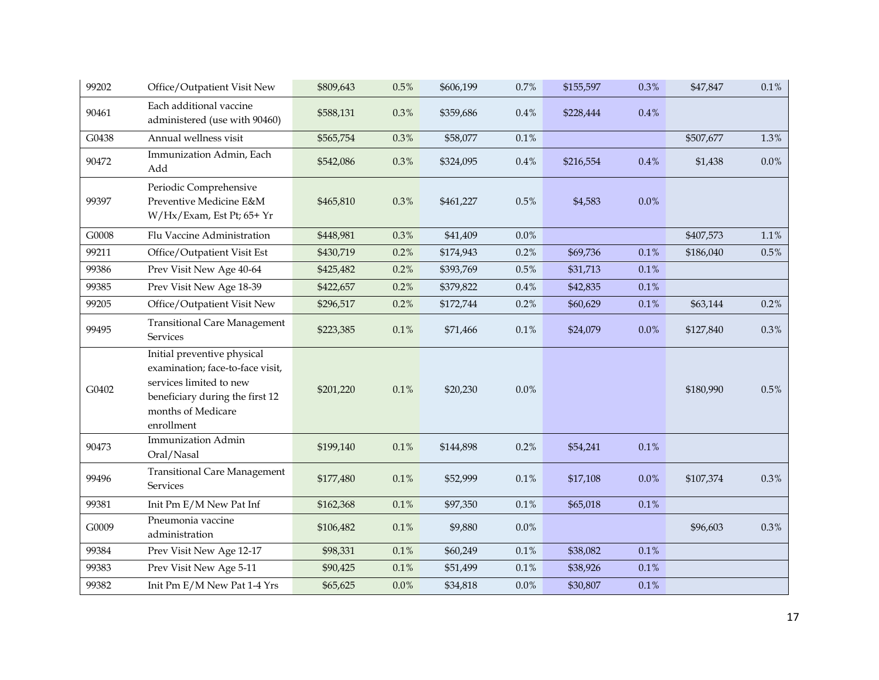| 99202 | Office/Outpatient Visit New                                                                                                                                       | \$809,643 | $0.5\%$ | \$606,199 | 0.7%    | \$155,597 | 0.3%      | \$47,847  | $0.1\%$ |
|-------|-------------------------------------------------------------------------------------------------------------------------------------------------------------------|-----------|---------|-----------|---------|-----------|-----------|-----------|---------|
| 90461 | Each additional vaccine<br>administered (use with 90460)                                                                                                          | \$588,131 | 0.3%    | \$359,686 | 0.4%    | \$228,444 | $0.4\,\%$ |           |         |
| G0438 | Annual wellness visit                                                                                                                                             | \$565,754 | 0.3%    | \$58,077  | $0.1\%$ |           |           | \$507,677 | 1.3%    |
| 90472 | Immunization Admin, Each<br>Add                                                                                                                                   | \$542,086 | 0.3%    | \$324,095 | 0.4%    | \$216,554 | $0.4\,\%$ | \$1,438   | $0.0\%$ |
| 99397 | Periodic Comprehensive<br>Preventive Medicine E&M<br>W/Hx/Exam, Est Pt; 65+ Yr                                                                                    | \$465,810 | 0.3%    | \$461,227 | $0.5\%$ | \$4,583   | 0.0%      |           |         |
| G0008 | Flu Vaccine Administration                                                                                                                                        | \$448,981 | 0.3%    | \$41,409  | $0.0\%$ |           |           | \$407,573 | $1.1\%$ |
| 99211 | Office/Outpatient Visit Est                                                                                                                                       | \$430,719 | 0.2%    | \$174,943 | 0.2%    | \$69,736  | $0.1\%$   | \$186,040 | 0.5%    |
| 99386 | Prev Visit New Age 40-64                                                                                                                                          | \$425,482 | 0.2%    | \$393,769 | 0.5%    | \$31,713  | 0.1%      |           |         |
| 99385 | Prev Visit New Age 18-39                                                                                                                                          | \$422,657 | $0.2\%$ | \$379,822 | $0.4\%$ | \$42,835  | $0.1\%$   |           |         |
| 99205 | Office/Outpatient Visit New                                                                                                                                       | \$296,517 | 0.2%    | \$172,744 | 0.2%    | \$60,629  | 0.1%      | \$63,144  | 0.2%    |
| 99495 | <b>Transitional Care Management</b><br><b>Services</b>                                                                                                            | \$223,385 | 0.1%    | \$71,466  | 0.1%    | \$24,079  | $0.0\%$   | \$127,840 | 0.3%    |
| G0402 | Initial preventive physical<br>examination; face-to-face visit,<br>services limited to new<br>beneficiary during the first 12<br>months of Medicare<br>enrollment | \$201,220 | $0.1\%$ | \$20,230  | 0.0%    |           |           | \$180,990 | 0.5%    |
| 90473 | Immunization Admin<br>Oral/Nasal                                                                                                                                  | \$199,140 | $0.1\%$ | \$144,898 | 0.2%    | \$54,241  | $0.1\%$   |           |         |
| 99496 | <b>Transitional Care Management</b><br>Services                                                                                                                   | \$177,480 | 0.1%    | \$52,999  | 0.1%    | \$17,108  | 0.0%      | \$107,374 | 0.3%    |
| 99381 | Init Pm E/M New Pat Inf                                                                                                                                           | \$162,368 | $0.1\%$ | \$97,350  | 0.1%    | \$65,018  | 0.1%      |           |         |
| G0009 | Pneumonia vaccine<br>administration                                                                                                                               | \$106,482 | 0.1%    | \$9,880   | 0.0%    |           |           | \$96,603  | 0.3%    |
| 99384 | Prev Visit New Age 12-17                                                                                                                                          | \$98,331  | $0.1\%$ | \$60,249  | $0.1\%$ | \$38,082  | 0.1%      |           |         |
| 99383 | Prev Visit New Age 5-11                                                                                                                                           | \$90,425  | $0.1\%$ | \$51,499  | $0.1\%$ | \$38,926  | $0.1\%$   |           |         |
| 99382 | Init Pm E/M New Pat 1-4 Yrs                                                                                                                                       | \$65,625  | $0.0\%$ | \$34,818  | 0.0%    | \$30,807  | $0.1\%$   |           |         |